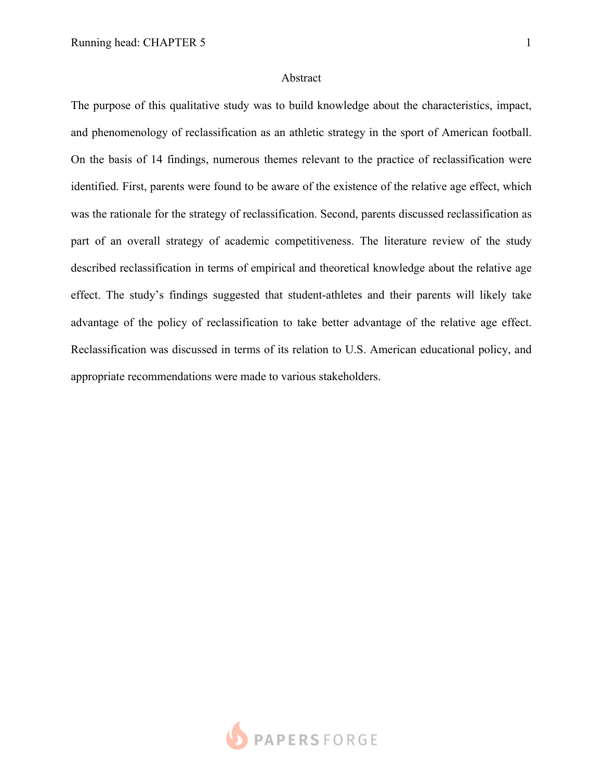## Abstract

The purpose of this qualitative study was to build knowledge about the characteristics, impact, and phenomenology of reclassification as an athletic strategy in the sport of American football. On the basis of 14 findings, numerous themes relevant to the practice of reclassification were identified. First, parents were found to be aware of the existence of the relative age effect, which was the rationale for the strategy of reclassification. Second, parents discussed reclassification as part of an overall strategy of academic competitiveness. The literature review of the study described reclassification in terms of empirical and theoretical knowledge about the relative age effect. The study's findings suggested that student-athletes and their parents will likely take advantage of the policy of reclassification to take better advantage of the relative age effect. Reclassification was discussed in terms of its relation to U.S. American educational policy, and appropriate recommendations were made to various stakeholders.

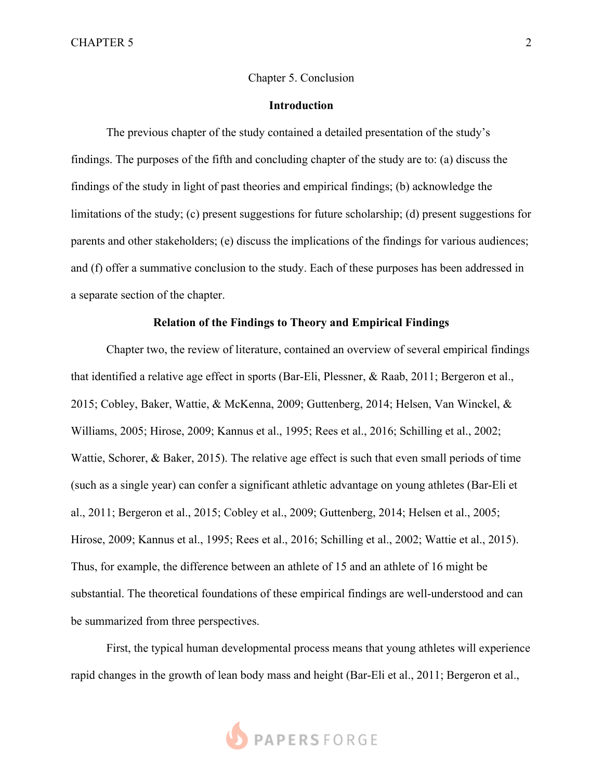## Chapter 5. Conclusion

# **Introduction**

The previous chapter of the study contained a detailed presentation of the study's findings. The purposes of the fifth and concluding chapter of the study are to: (a) discuss the findings of the study in light of past theories and empirical findings; (b) acknowledge the limitations of the study; (c) present suggestions for future scholarship; (d) present suggestions for parents and other stakeholders; (e) discuss the implications of the findings for various audiences; and (f) offer a summative conclusion to the study. Each of these purposes has been addressed in a separate section of the chapter.

#### **Relation of the Findings to Theory and Empirical Findings**

Chapter two, the review of literature, contained an overview of several empirical findings that identified a relative age effect in sports (Bar-Eli, Plessner, & Raab, 2011; Bergeron et al., 2015; Cobley, Baker, Wattie, & McKenna, 2009; Guttenberg, 2014; Helsen, Van Winckel, & Williams, 2005; Hirose, 2009; Kannus et al., 1995; Rees et al., 2016; Schilling et al., 2002; Wattie, Schorer, & Baker, 2015). The relative age effect is such that even small periods of time (such as a single year) can confer a significant athletic advantage on young athletes (Bar-Eli et al., 2011; Bergeron et al., 2015; Cobley et al., 2009; Guttenberg, 2014; Helsen et al., 2005; Hirose, 2009; Kannus et al., 1995; Rees et al., 2016; Schilling et al., 2002; Wattie et al., 2015). Thus, for example, the difference between an athlete of 15 and an athlete of 16 might be substantial. The theoretical foundations of these empirical findings are well-understood and can be summarized from three perspectives.

First, the typical human developmental process means that young athletes will experience rapid changes in the growth of lean body mass and height (Bar-Eli et al., 2011; Bergeron et al.,

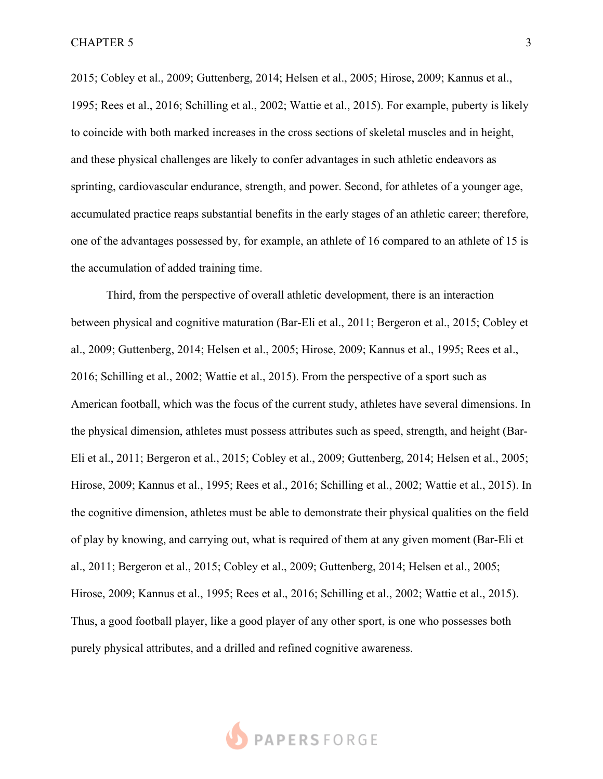2015; Cobley et al., 2009; Guttenberg, 2014; Helsen et al., 2005; Hirose, 2009; Kannus et al., 1995; Rees et al., 2016; Schilling et al., 2002; Wattie et al., 2015). For example, puberty is likely to coincide with both marked increases in the cross sections of skeletal muscles and in height, and these physical challenges are likely to confer advantages in such athletic endeavors as sprinting, cardiovascular endurance, strength, and power. Second, for athletes of a younger age, accumulated practice reaps substantial benefits in the early stages of an athletic career; therefore, one of the advantages possessed by, for example, an athlete of 16 compared to an athlete of 15 is the accumulation of added training time.

Third, from the perspective of overall athletic development, there is an interaction between physical and cognitive maturation (Bar-Eli et al., 2011; Bergeron et al., 2015; Cobley et al., 2009; Guttenberg, 2014; Helsen et al., 2005; Hirose, 2009; Kannus et al., 1995; Rees et al., 2016; Schilling et al., 2002; Wattie et al., 2015). From the perspective of a sport such as American football, which was the focus of the current study, athletes have several dimensions. In the physical dimension, athletes must possess attributes such as speed, strength, and height (Bar-Eli et al., 2011; Bergeron et al., 2015; Cobley et al., 2009; Guttenberg, 2014; Helsen et al., 2005; Hirose, 2009; Kannus et al., 1995; Rees et al., 2016; Schilling et al., 2002; Wattie et al., 2015). In the cognitive dimension, athletes must be able to demonstrate their physical qualities on the field of play by knowing, and carrying out, what is required of them at any given moment (Bar-Eli et al., 2011; Bergeron et al., 2015; Cobley et al., 2009; Guttenberg, 2014; Helsen et al., 2005; Hirose, 2009; Kannus et al., 1995; Rees et al., 2016; Schilling et al., 2002; Wattie et al., 2015). Thus, a good football player, like a good player of any other sport, is one who possesses both purely physical attributes, and a drilled and refined cognitive awareness.

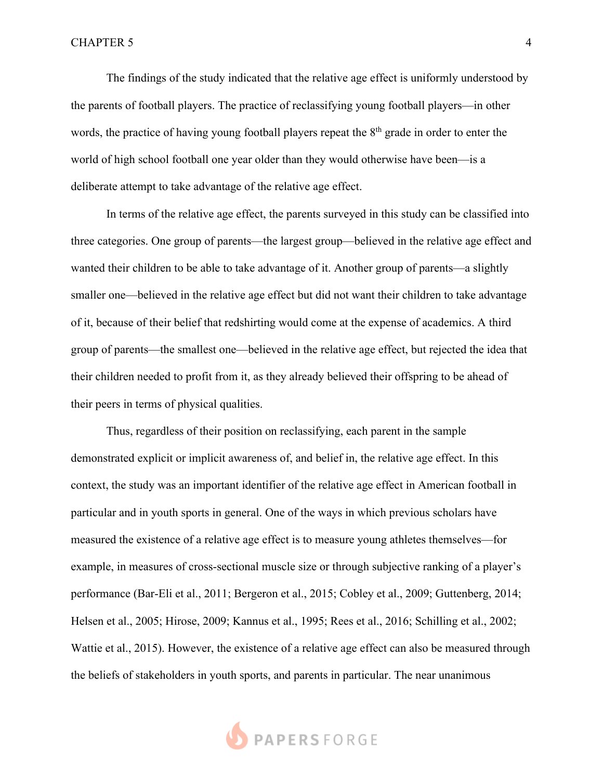The findings of the study indicated that the relative age effect is uniformly understood by the parents of football players. The practice of reclassifying young football players—in other words, the practice of having young football players repeat the 8<sup>th</sup> grade in order to enter the world of high school football one year older than they would otherwise have been—is a deliberate attempt to take advantage of the relative age effect.

In terms of the relative age effect, the parents surveyed in this study can be classified into three categories. One group of parents—the largest group—believed in the relative age effect and wanted their children to be able to take advantage of it. Another group of parents—a slightly smaller one—believed in the relative age effect but did not want their children to take advantage of it, because of their belief that redshirting would come at the expense of academics. A third group of parents—the smallest one—believed in the relative age effect, but rejected the idea that their children needed to profit from it, as they already believed their offspring to be ahead of their peers in terms of physical qualities.

Thus, regardless of their position on reclassifying, each parent in the sample demonstrated explicit or implicit awareness of, and belief in, the relative age effect. In this context, the study was an important identifier of the relative age effect in American football in particular and in youth sports in general. One of the ways in which previous scholars have measured the existence of a relative age effect is to measure young athletes themselves—for example, in measures of cross-sectional muscle size or through subjective ranking of a player's performance (Bar-Eli et al., 2011; Bergeron et al., 2015; Cobley et al., 2009; Guttenberg, 2014; Helsen et al., 2005; Hirose, 2009; Kannus et al., 1995; Rees et al., 2016; Schilling et al., 2002; Wattie et al., 2015). However, the existence of a relative age effect can also be measured through the beliefs of stakeholders in youth sports, and parents in particular. The near unanimous

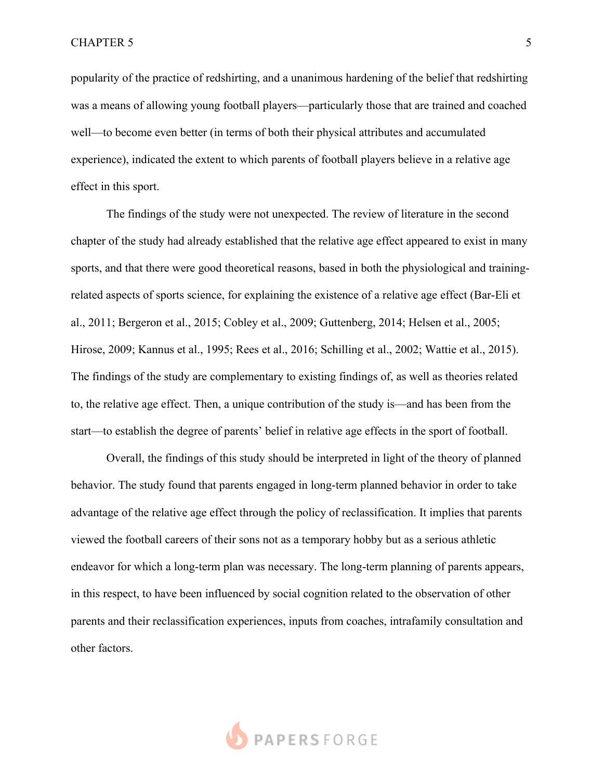popularity of the practice of redshirting, and a unanimous hardening of the belief that redshirting was a means of allowing young football players—particularly those that are trained and coached well—to become even better (in terms of both their physical attributes and accumulated experience), indicated the extent to which parents of football players believe in a relative age effect in this sport.

The findings of the study were not unexpected. The review of literature in the second chapter of the study had already established that the relative age effect appeared to exist in many sports, and that there were good theoretical reasons, based in both the physiological and trainingrelated aspects of sports science, for explaining the existence of a relative age effect (Bar-Eli et al., 2011; Bergeron et al., 2015; Cobley et al., 2009; Guttenberg, 2014; Helsen et al., 2005; Hirose, 2009; Kannus et al., 1995; Rees et al., 2016; Schilling et al., 2002; Wattie et al., 2015). The findings of the study are complementary to existing findings of, as well as theories related to, the relative age effect. Then, a unique contribution of the study is—and has been from the start—to establish the degree of parents' belief in relative age effects in the sport of football.

Overall, the findings of this study should be interpreted in light of the theory of planned behavior. The study found that parents engaged in long-term planned behavior in order to take advantage of the relative age effect through the policy of reclassification. It implies that parents viewed the football careers of their sons not as a temporary hobby but as a serious athletic endeavor for which a long-term plan was necessary. The long-term planning of parents appears, in this respect, to have been influenced by social cognition related to the observation of other parents and their reclassification experiences, inputs from coaches, intrafamily consultation and other factors.

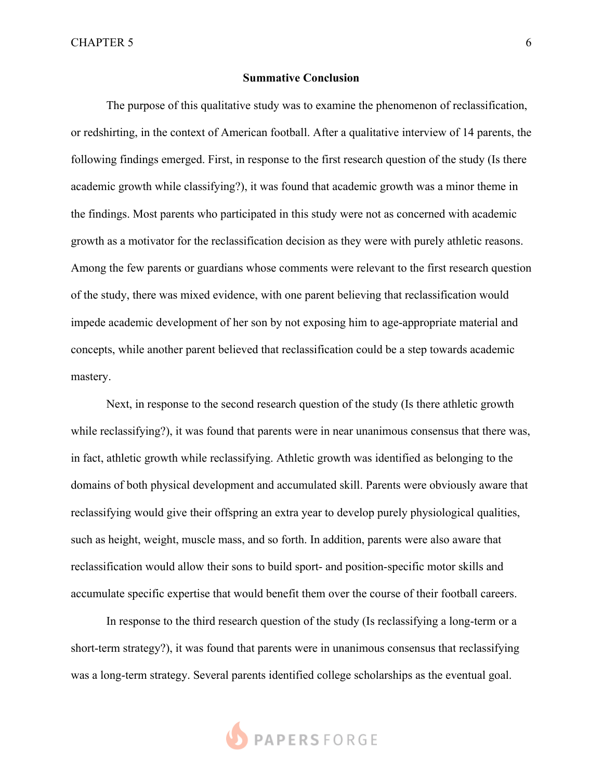## **Summative Conclusion**

The purpose of this qualitative study was to examine the phenomenon of reclassification, or redshirting, in the context of American football. After a qualitative interview of 14 parents, the following findings emerged. First, in response to the first research question of the study (Is there academic growth while classifying?), it was found that academic growth was a minor theme in the findings. Most parents who participated in this study were not as concerned with academic growth as a motivator for the reclassification decision as they were with purely athletic reasons. Among the few parents or guardians whose comments were relevant to the first research question of the study, there was mixed evidence, with one parent believing that reclassification would impede academic development of her son by not exposing him to age-appropriate material and concepts, while another parent believed that reclassification could be a step towards academic mastery.

Next, in response to the second research question of the study (Is there athletic growth while reclassifying?), it was found that parents were in near unanimous consensus that there was, in fact, athletic growth while reclassifying. Athletic growth was identified as belonging to the domains of both physical development and accumulated skill. Parents were obviously aware that reclassifying would give their offspring an extra year to develop purely physiological qualities, such as height, weight, muscle mass, and so forth. In addition, parents were also aware that reclassification would allow their sons to build sport- and position-specific motor skills and accumulate specific expertise that would benefit them over the course of their football careers.

In response to the third research question of the study (Is reclassifying a long-term or a short-term strategy?), it was found that parents were in unanimous consensus that reclassifying was a long-term strategy. Several parents identified college scholarships as the eventual goal.

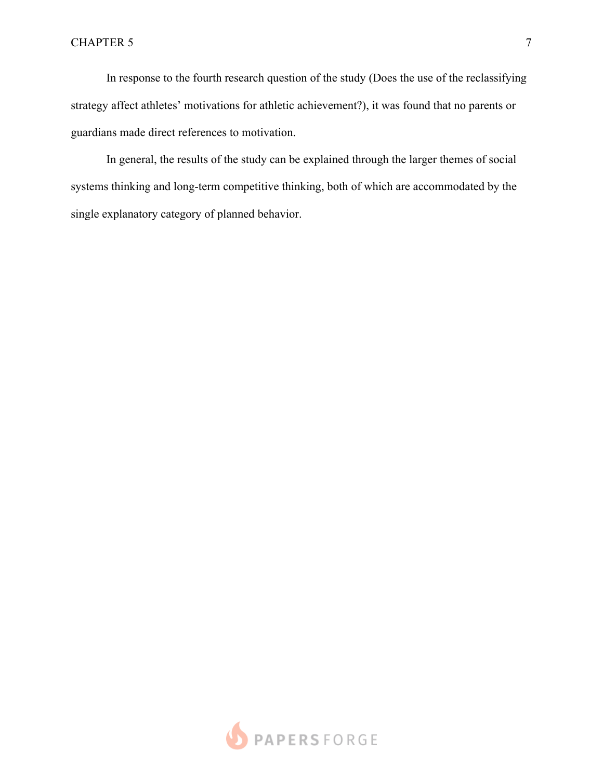In response to the fourth research question of the study (Does the use of the reclassifying strategy affect athletes' motivations for athletic achievement?), it was found that no parents or guardians made direct references to motivation.

In general, the results of the study can be explained through the larger themes of social systems thinking and long-term competitive thinking, both of which are accommodated by the single explanatory category of planned behavior.

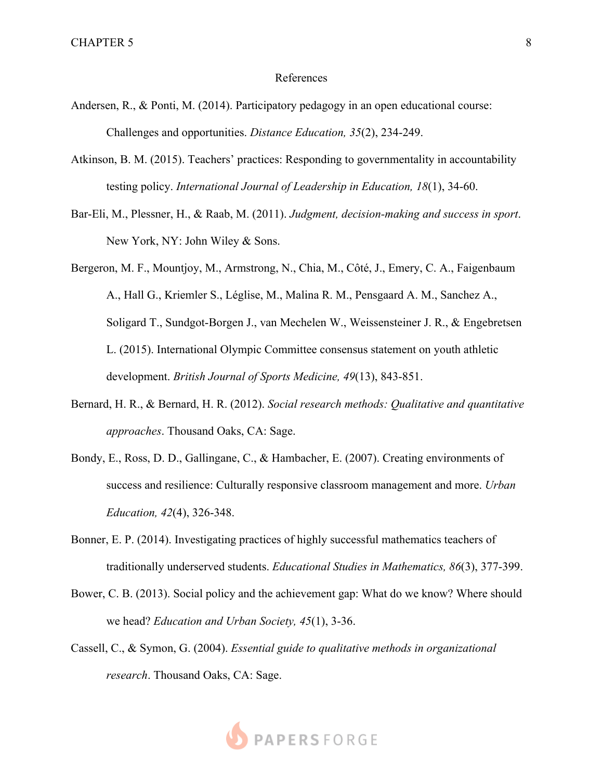### References

- Andersen, R., & Ponti, M. (2014). Participatory pedagogy in an open educational course: Challenges and opportunities. *Distance Education, 35*(2), 234-249.
- Atkinson, B. M. (2015). Teachers' practices: Responding to governmentality in accountability testing policy. *International Journal of Leadership in Education, 18*(1), 34-60.
- Bar-Eli, M., Plessner, H., & Raab, M. (2011). *Judgment, decision-making and success in sport*. New York, NY: John Wiley & Sons.
- Bergeron, M. F., Mountjoy, M., Armstrong, N., Chia, M., Côté, J., Emery, C. A., Faigenbaum A., Hall G., Kriemler S., Léglise, M., Malina R. M., Pensgaard A. M., Sanchez A., Soligard T., Sundgot-Borgen J., van Mechelen W., Weissensteiner J. R., & Engebretsen L. (2015). International Olympic Committee consensus statement on youth athletic development. *British Journal of Sports Medicine, 49*(13), 843-851.
- Bernard, H. R., & Bernard, H. R. (2012). *Social research methods: Qualitative and quantitative approaches*. Thousand Oaks, CA: Sage.
- Bondy, E., Ross, D. D., Gallingane, C., & Hambacher, E. (2007). Creating environments of success and resilience: Culturally responsive classroom management and more. *Urban Education, 42*(4), 326-348.
- Bonner, E. P. (2014). Investigating practices of highly successful mathematics teachers of traditionally underserved students. *Educational Studies in Mathematics, 86*(3), 377-399.
- Bower, C. B. (2013). Social policy and the achievement gap: What do we know? Where should we head? *Education and Urban Society, 45*(1), 3-36.
- Cassell, C., & Symon, G. (2004). *Essential guide to qualitative methods in organizational research*. Thousand Oaks, CA: Sage.

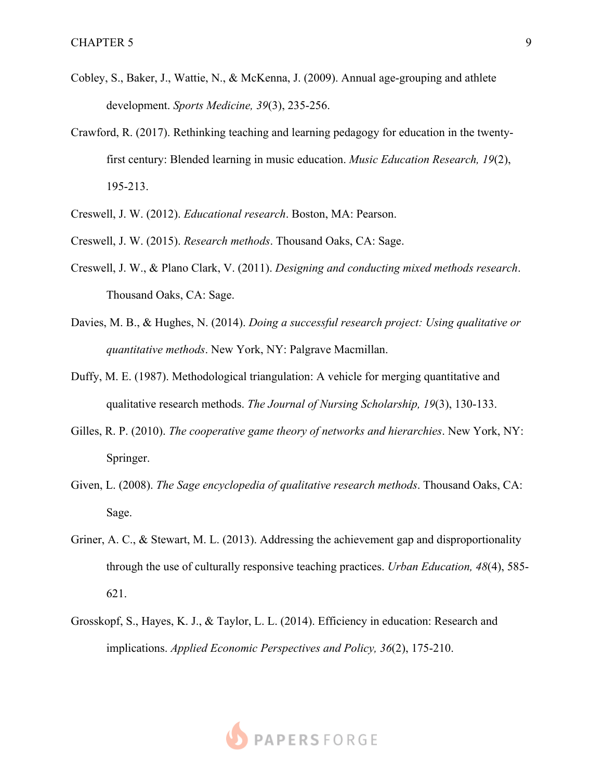- Cobley, S., Baker, J., Wattie, N., & McKenna, J. (2009). Annual age-grouping and athlete development. *Sports Medicine, 39*(3), 235-256.
- Crawford, R. (2017). Rethinking teaching and learning pedagogy for education in the twentyfirst century: Blended learning in music education. *Music Education Research, 19*(2), 195-213.
- Creswell, J. W. (2012). *Educational research*. Boston, MA: Pearson.
- Creswell, J. W. (2015). *Research methods*. Thousand Oaks, CA: Sage.
- Creswell, J. W., & Plano Clark, V. (2011). *Designing and conducting mixed methods research*. Thousand Oaks, CA: Sage.
- Davies, M. B., & Hughes, N. (2014). *Doing a successful research project: Using qualitative or quantitative methods*. New York, NY: Palgrave Macmillan.
- Duffy, M. E. (1987). Methodological triangulation: A vehicle for merging quantitative and qualitative research methods. *The Journal of Nursing Scholarship, 19*(3), 130-133.
- Gilles, R. P. (2010). *The cooperative game theory of networks and hierarchies*. New York, NY: Springer.
- Given, L. (2008). *The Sage encyclopedia of qualitative research methods*. Thousand Oaks, CA: Sage.
- Griner, A. C., & Stewart, M. L. (2013). Addressing the achievement gap and disproportionality through the use of culturally responsive teaching practices. *Urban Education, 48*(4), 585- 621.
- Grosskopf, S., Hayes, K. J., & Taylor, L. L. (2014). Efficiency in education: Research and implications. *Applied Economic Perspectives and Policy, 36*(2), 175-210.

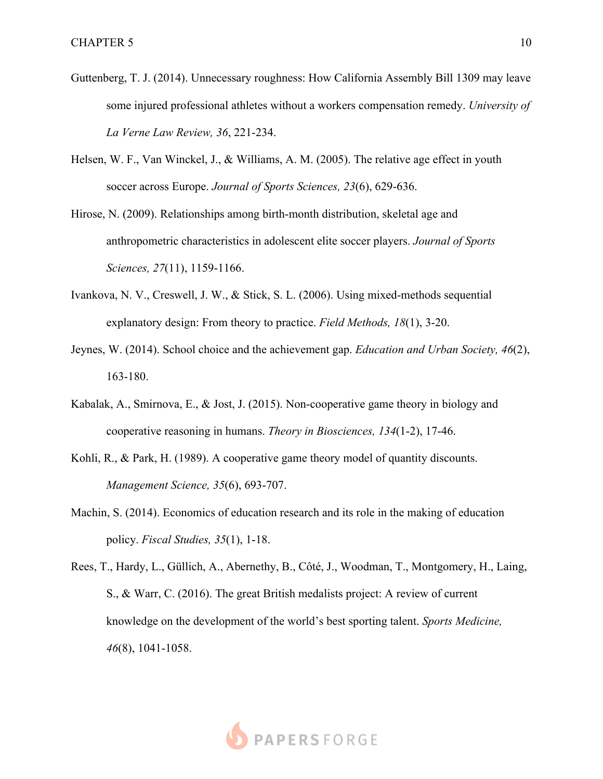- Guttenberg, T. J. (2014). Unnecessary roughness: How California Assembly Bill 1309 may leave some injured professional athletes without a workers compensation remedy. *University of La Verne Law Review, 36*, 221-234.
- Helsen, W. F., Van Winckel, J., & Williams, A. M. (2005). The relative age effect in youth soccer across Europe. *Journal of Sports Sciences, 23*(6), 629-636.
- Hirose, N. (2009). Relationships among birth-month distribution, skeletal age and anthropometric characteristics in adolescent elite soccer players. *Journal of Sports Sciences, 27*(11), 1159-1166.
- Ivankova, N. V., Creswell, J. W., & Stick, S. L. (2006). Using mixed-methods sequential explanatory design: From theory to practice. *Field Methods, 18*(1), 3-20.
- Jeynes, W. (2014). School choice and the achievement gap. *Education and Urban Society, 46*(2), 163-180.
- Kabalak, A., Smirnova, E., & Jost, J. (2015). Non-cooperative game theory in biology and cooperative reasoning in humans. *Theory in Biosciences, 134*(1-2), 17-46.
- Kohli, R., & Park, H. (1989). A cooperative game theory model of quantity discounts. *Management Science, 35*(6), 693-707.
- Machin, S. (2014). Economics of education research and its role in the making of education policy. *Fiscal Studies, 35*(1), 1-18.
- Rees, T., Hardy, L., Güllich, A., Abernethy, B., Côté, J., Woodman, T., Montgomery, H., Laing, S., & Warr, C. (2016). The great British medalists project: A review of current knowledge on the development of the world's best sporting talent. *Sports Medicine, 46*(8), 1041-1058.